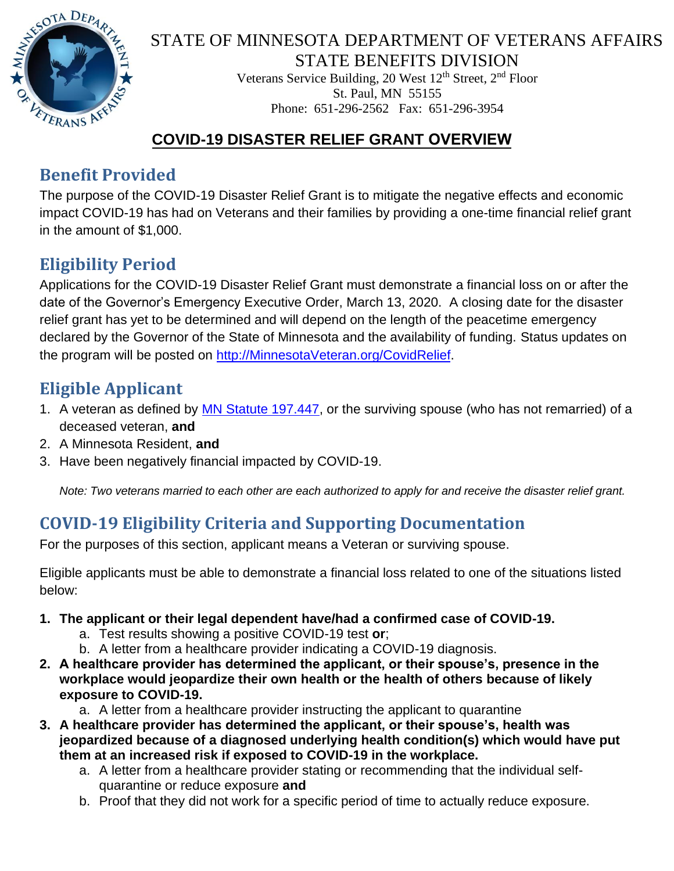

#### STATE OF MINNESOTA DEPARTMENT OF VETERANS AFFAIRS STATE BENEFITS DIVISION

Veterans Service Building, 20 West 12<sup>th</sup> Street, 2<sup>nd</sup> Floor St. Paul, MN 55155 Phone: 651-296-2562 Fax: 651-296-3954

### **COVID-19 DISASTER RELIEF GRANT OVERVIEW**

### **Benefit Provided**

The purpose of the COVID-19 Disaster Relief Grant is to mitigate the negative effects and economic impact COVID-19 has had on Veterans and their families by providing a one-time financial relief grant in the amount of \$1,000.

# **Eligibility Period**

Applications for the COVID-19 Disaster Relief Grant must demonstrate a financial loss on or after the date of the Governor's Emergency Executive Order, March 13, 2020. A closing date for the disaster relief grant has yet to be determined and will depend on the length of the peacetime emergency declared by the Governor of the State of Minnesota and the availability of funding. Status updates on the program will be posted on [http://MinnesotaVeteran.org/CovidRelief.](http://minnesotaveteran.org/CovidRelief) 

# **Eligible Applicant**

- 1. A veteran as defined by **MN Statute 197.447**, or the surviving spouse (who has not remarried) of a deceased veteran, **and**
- 2. A Minnesota Resident, **and**
- 3. Have been negatively financial impacted by COVID-19.

*Note: Two veterans married to each other are each authorized to apply for and receive the disaster relief grant.*

## **COVID-19 Eligibility Criteria and Supporting Documentation**

For the purposes of this section, applicant means a Veteran or surviving spouse.

Eligible applicants must be able to demonstrate a financial loss related to one of the situations listed below:

- **1. The applicant or their legal dependent have/had a confirmed case of COVID-19.**
	- a. Test results showing a positive COVID-19 test **or**;
	- b. A letter from a healthcare provider indicating a COVID-19 diagnosis.
- **2. A healthcare provider has determined the applicant, or their spouse's, presence in the workplace would jeopardize their own health or the health of others because of likely exposure to COVID-19.**
	- a. A letter from a healthcare provider instructing the applicant to quarantine
- **3. A healthcare provider has determined the applicant, or their spouse's, health was jeopardized because of a diagnosed underlying health condition(s) which would have put them at an increased risk if exposed to COVID-19 in the workplace.**
	- a. A letter from a healthcare provider stating or recommending that the individual selfquarantine or reduce exposure **and**
	- b. Proof that they did not work for a specific period of time to actually reduce exposure.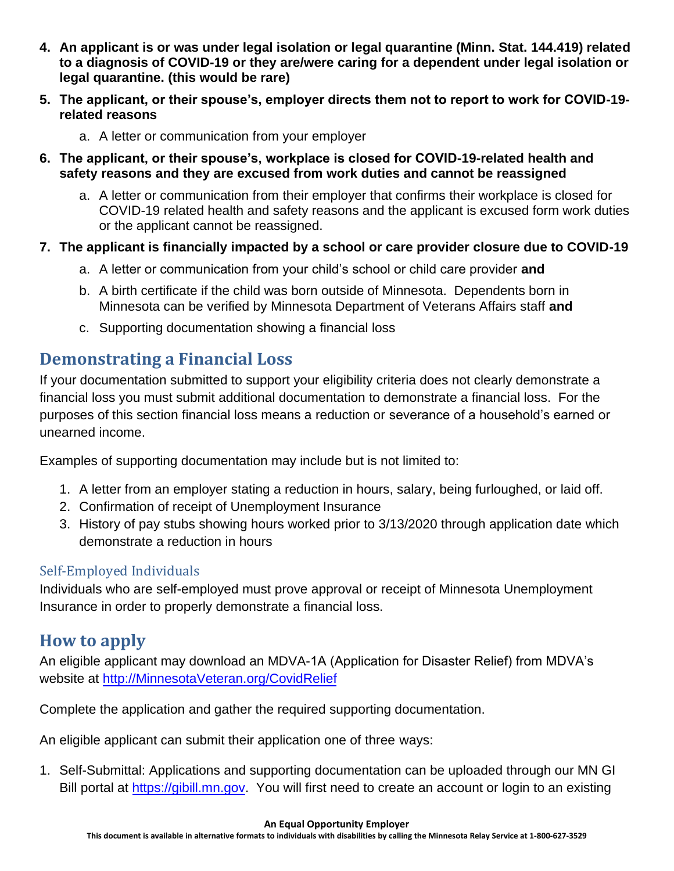- **4. An applicant is or was under legal isolation or legal quarantine (Minn. Stat. 144.419) related to a diagnosis of COVID-19 or they are/were caring for a dependent under legal isolation or legal quarantine. (this would be rare)**
- **5. The applicant, or their spouse's, employer directs them not to report to work for COVID-19 related reasons**
	- a. A letter or communication from your employer
- **6. The applicant, or their spouse's, workplace is closed for COVID-19-related health and safety reasons and they are excused from work duties and cannot be reassigned**
	- a. A letter or communication from their employer that confirms their workplace is closed for COVID-19 related health and safety reasons and the applicant is excused form work duties or the applicant cannot be reassigned.

#### **7. The applicant is financially impacted by a school or care provider closure due to COVID-19**

- a. A letter or communication from your child's school or child care provider **and**
- b. A birth certificate if the child was born outside of Minnesota. Dependents born in Minnesota can be verified by Minnesota Department of Veterans Affairs staff **and**
- c. Supporting documentation showing a financial loss

### **Demonstrating a Financial Loss**

If your documentation submitted to support your eligibility criteria does not clearly demonstrate a financial loss you must submit additional documentation to demonstrate a financial loss. For the purposes of this section financial loss means a reduction or severance of a household's earned or unearned income.

Examples of supporting documentation may include but is not limited to:

- 1. A letter from an employer stating a reduction in hours, salary, being furloughed, or laid off.
- 2. Confirmation of receipt of Unemployment Insurance
- 3. History of pay stubs showing hours worked prior to 3/13/2020 through application date which demonstrate a reduction in hours

#### Self-Employed Individuals

Individuals who are self-employed must prove approval or receipt of Minnesota Unemployment Insurance in order to properly demonstrate a financial loss.

### **How to apply**

An eligible applicant may download an MDVA-1A (Application for Disaster Relief) from MDVA's website at [http://MinnesotaVeteran.org/CovidRelief](http://minnesotaveteran.org/CovidRelief)

Complete the application and gather the required supporting documentation.

An eligible applicant can submit their application one of three ways:

1. Self-Submittal: Applications and supporting documentation can be uploaded through our MN GI Bill portal at [https://gibill.mn.gov.](https://gibill.mn.gov/) You will first need to create an account or login to an existing

#### **An Equal Opportunity Employer**